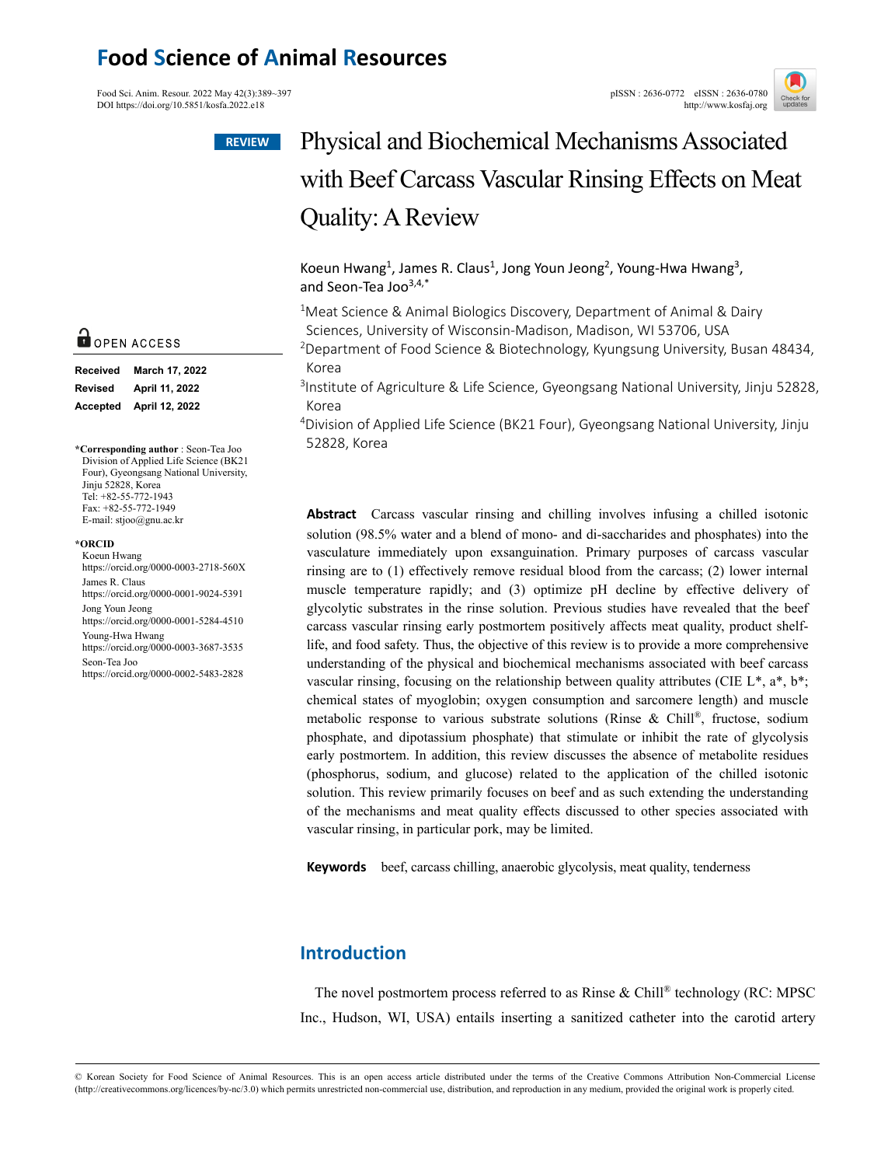## **Food Science of Animal Resources**

Food Sci. Anim. Resour. 2022 May 42(3):389~397<br>
DOI https://doi.org/10.5851/kosfa.2022.e18<br>
http://www.kosfai.org/ DOI https://doi.org/10.5851/kosfa.2022.e18





# Physical and Biochemical Mechanisms Associated with Beef Carcass Vascular Rinsing Effects on Meat Quality: A Review

### Koeun Hwang<sup>1</sup>, James R. Claus<sup>1</sup>, Jong Youn Jeong<sup>2</sup>, Young-Hwa Hwang<sup>3</sup>, and Seon-Tea Joo $3,4,*$

<sup>1</sup>Meat Science & Animal Biologics Discovery, Department of Animal & Dairy Sciences, University of Wisconsin-Madison, Madison, WI 53706, USA

2Department of Food Science & Biotechnology, Kyungsung University, Busan 48434, Korea

<sup>3</sup>Institute of Agriculture & Life Science, Gyeongsang National University, Jinju 52828, Korea

4Division of Applied Life Science (BK21 Four), Gyeongsang National University, Jinju 52828, Korea

**Abstract** Carcass vascular rinsing and chilling involves infusing a chilled isotonic solution (98.5% water and a blend of mono- and di-saccharides and phosphates) into the vasculature immediately upon exsanguination. Primary purposes of carcass vascular rinsing are to (1) effectively remove residual blood from the carcass; (2) lower internal muscle temperature rapidly; and (3) optimize pH decline by effective delivery of glycolytic substrates in the rinse solution. Previous studies have revealed that the beef carcass vascular rinsing early postmortem positively affects meat quality, product shelflife, and food safety. Thus, the objective of this review is to provide a more comprehensive understanding of the physical and biochemical mechanisms associated with beef carcass vascular rinsing, focusing on the relationship between quality attributes (CIE L\*, a\*, b\*; chemical states of myoglobin; oxygen consumption and sarcomere length) and muscle metabolic response to various substrate solutions (Rinse & Chill ®, fructose, sodium phosphate, and dipotassium phosphate) that stimulate or inhibit the rate of glycolysis early postmortem. In addition, this review discusses the absence of metabolite residues (phosphorus, sodium, and glucose) related to the application of the chilled isotonic solution. This review primarily focuses on beef and as such extending the understanding of the mechanisms and meat quality effects discussed to other species associated with vascular rinsing, in particular pork, may be limited.

**Keywords** beef, carcass chilling, anaerobic glycolysis, meat quality, tenderness

## **Introduction**

The novel postmortem process referred to as Rinse & Chill® technology (RC: MPSC Inc., Hudson, WI, USA) entails inserting a sanitized catheter into the carotid artery

© Korean Society for Food Science of Animal Resources. This is an open access article distributed under the terms of the Creative Commons Attribution Non-Commercial License (http://creativecommons.org/licences/by-nc/3.0) which permits unrestricted non-commercial use, distribution, and reproduction in any medium, provided the original work is properly cited.

## **O** OPEN ACCESS

| <b>Received</b> | March 17, 2022 |  |  |
|-----------------|----------------|--|--|
| Revised         | April 11, 2022 |  |  |
| Accepted        | April 12, 2022 |  |  |

**\*Corresponding author** : Seon-Tea Joo Division of Applied Life Science (BK21 Four), Gyeongsang National University, Jinju 52828, Korea Tel: +82-55-772-1943 Fax: +82-55-772-1949 E-mail: stjoo@gnu.ac.kr

#### **\*ORCID**

Koeun Hwang https://orcid.org/0000-0003-2718-560X James R. Claus https://orcid.org/0000-0001-9024-5391 Jong Youn Jeong https://orcid.org/0000-0001-5284-4510 Young-Hwa Hwang https://orcid.org/0000-0003-3687-3535 Seon-Tea Joo https://orcid.org/0000-0002-5483-2828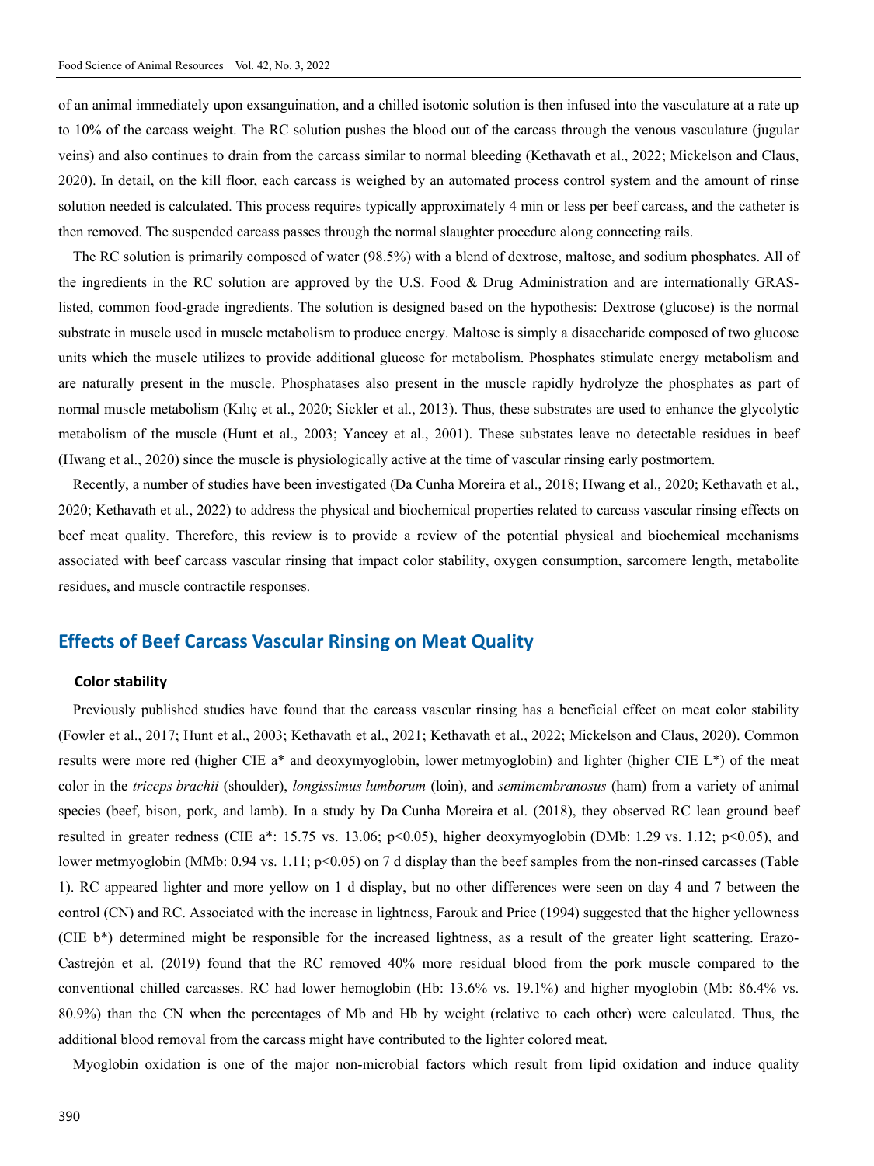of an animal immediately upon exsanguination, and a chilled isotonic solution is then infused into the vasculature at a rate up to 10% of the carcass weight. The RC solution pushes the blood out of the carcass through the venous vasculature (jugular veins) and also continues to drain from the carcass similar to normal bleeding (Kethavath et al., 2022; Mickelson and Claus, 2020). In detail, on the kill floor, each carcass is weighed by an automated process control system and the amount of rinse solution needed is calculated. This process requires typically approximately 4 min or less per beef carcass, and the catheter is then removed. The suspended carcass passes through the normal slaughter procedure along connecting rails.

The RC solution is primarily composed of water (98.5%) with a blend of dextrose, maltose, and sodium phosphates. All of the ingredients in the RC solution are approved by the U.S. Food & Drug Administration and are internationally GRASlisted, common food-grade ingredients. The solution is designed based on the hypothesis: Dextrose (glucose) is the normal substrate in muscle used in muscle metabolism to produce energy. Maltose is simply a disaccharide composed of two glucose units which the muscle utilizes to provide additional glucose for metabolism. Phosphates stimulate energy metabolism and are naturally present in the muscle. Phosphatases also present in the muscle rapidly hydrolyze the phosphates as part of normal muscle metabolism (Kılıç et al., 2020; Sickler et al., 2013). Thus, these substrates are used to enhance the glycolytic metabolism of the muscle (Hunt et al., 2003; Yancey et al., 2001). These substates leave no detectable residues in beef (Hwang et al., 2020) since the muscle is physiologically active at the time of vascular rinsing early postmortem.

Recently, a number of studies have been investigated (Da Cunha Moreira et al., 2018; Hwang et al., 2020; Kethavath et al., 2020; Kethavath et al., 2022) to address the physical and biochemical properties related to carcass vascular rinsing effects on beef meat quality. Therefore, this review is to provide a review of the potential physical and biochemical mechanisms associated with beef carcass vascular rinsing that impact color stability, oxygen consumption, sarcomere length, metabolite residues, and muscle contractile responses.

## **Effects of Beef Carcass Vascular Rinsing on Meat Quality**

#### **Color stability**

Previously published studies have found that the carcass vascular rinsing has a beneficial effect on meat color stability (Fowler et al., 2017; Hunt et al., 2003; Kethavath et al., 2021; Kethavath et al., 2022; Mickelson and Claus, 2020). Common results were more red (higher CIE a\* and deoxymyoglobin, lower metmyoglobin) and lighter (higher CIE L\*) of the meat color in the *triceps brachii* (shoulder), *longissimus lumborum* (loin), and *semimembranosus* (ham) from a variety of animal species (beef, bison, pork, and lamb). In a study by Da Cunha Moreira et al. (2018), they observed RC lean ground beef resulted in greater redness (CIE a\*: 15.75 vs. 13.06; p<0.05), higher deoxymyoglobin (DMb: 1.29 vs. 1.12; p<0.05), and lower metmyoglobin (MMb: 0.94 vs. 1.11; p<0.05) on 7 d display than the beef samples from the non-rinsed carcasses (Table 1). RC appeared lighter and more yellow on 1 d display, but no other differences were seen on day 4 and 7 between the control (CN) and RC. Associated with the increase in lightness, Farouk and Price (1994) suggested that the higher yellowness (CIE b\*) determined might be responsible for the increased lightness, as a result of the greater light scattering. Erazo-Castrejón et al. (2019) found that the RC removed 40% more residual blood from the pork muscle compared to the conventional chilled carcasses. RC had lower hemoglobin (Hb: 13.6% vs. 19.1%) and higher myoglobin (Mb: 86.4% vs. 80.9%) than the CN when the percentages of Mb and Hb by weight (relative to each other) were calculated. Thus, the additional blood removal from the carcass might have contributed to the lighter colored meat.

Myoglobin oxidation is one of the major non-microbial factors which result from lipid oxidation and induce quality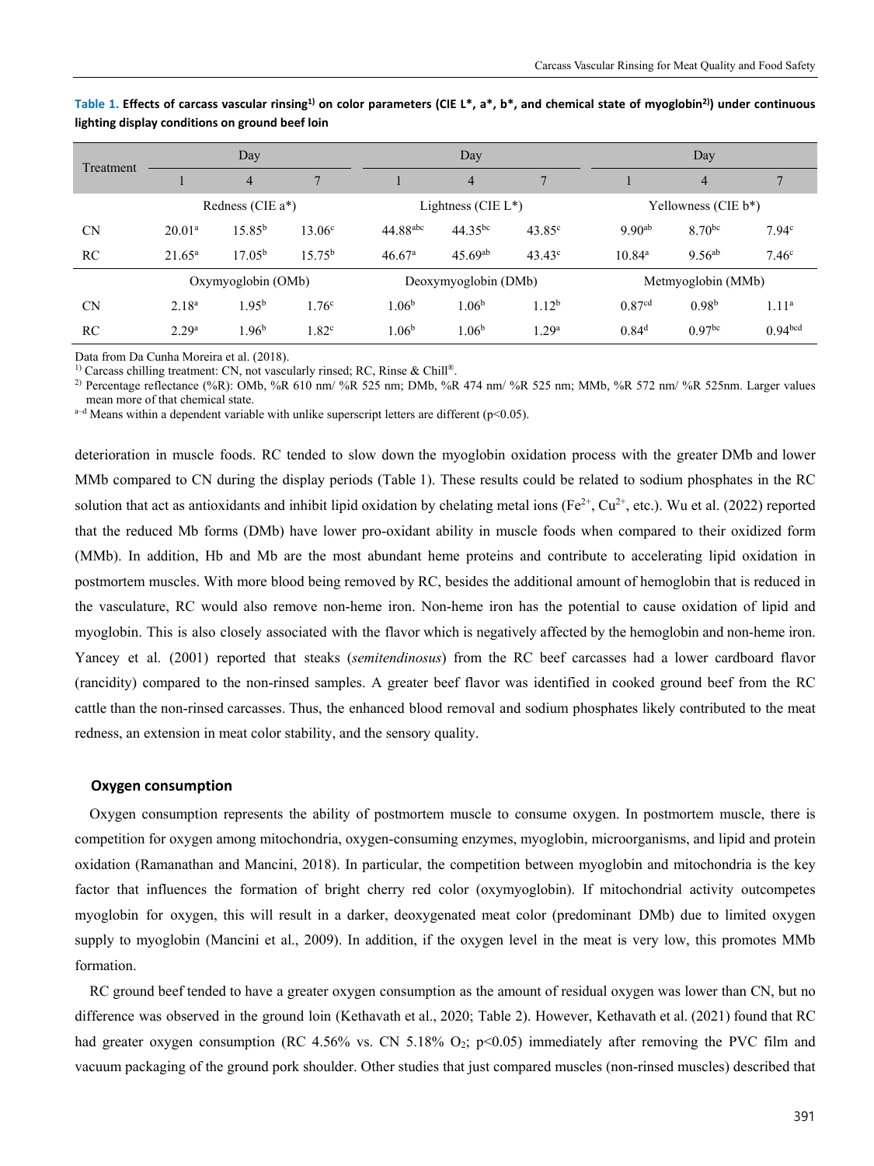|           | Day                |                      |                    | Day                  |                        |                    | Day                |                     |                     |
|-----------|--------------------|----------------------|--------------------|----------------------|------------------------|--------------------|--------------------|---------------------|---------------------|
| Treatment |                    | $\overline{4}$       | $\overline{7}$     |                      | $\overline{4}$         | 7                  |                    | $\overline{4}$      |                     |
|           |                    | Redness (CIE $a^*$ ) |                    |                      | Lightness (CIE $L^*$ ) |                    |                    | Yellowness (CIE b*) |                     |
| <b>CN</b> | $20.01^{\rm a}$    | $15.85^{b}$          | 13.06 <sup>c</sup> | $44.88^{abc}$        | $44.35^{bc}$           | $43.85^{\circ}$    | $9.90^{ab}$        | 8.70 <sup>bc</sup>  | 7.94 <sup>c</sup>   |
| RC        | $21.65^{\rm a}$    | 17.05 <sup>b</sup>   | 15.75 <sup>b</sup> | 46.67 <sup>a</sup>   | $45.69^{ab}$           | $43.43^{\circ}$    | $10.84^{\rm a}$    | $9.56^{ab}$         | 7.46 <sup>c</sup>   |
|           | Oxymyoglobin (OMb) |                      |                    | Deoxymyoglobin (DMb) |                        | Metmyoglobin (MMb) |                    |                     |                     |
| <b>CN</b> | 2.18 <sup>a</sup>  | $1.95^{b}$           | 1.76 <sup>c</sup>  | 1.06 <sup>b</sup>    | 1.06 <sup>b</sup>      | 1.12 <sup>b</sup>  | 0.87 <sup>cd</sup> | 0.98 <sup>b</sup>   | 1.11 <sup>a</sup>   |
| RC        | 2.29 <sup>a</sup>  | 1.96 <sup>b</sup>    | 1.82 <sup>c</sup>  | 1.06 <sup>b</sup>    | 1.06 <sup>b</sup>      | .29 <sup>a</sup>   | 0.84 <sup>d</sup>  | 0.97 <sup>bc</sup>  | 0.94 <sup>bcd</sup> |

**Table 1. Effects of carcass vascular rinsing1) on color parameters (CIE L\*, a\*, b\*, and chemical state of myoglobin2)) under continuous lighting display conditions on ground beef loin** 

Data from Da Cunha Moreira et al. (2018).<br><sup>1)</sup> Carcass chilling treatment: CN, not vascularly rinsed; RC, Rinse & Chill®.

<sup>2)</sup> Percentage reflectance (%R): OMb, %R 610 nm/ %R 525 nm; DMb, %R 474 nm/ %R 525 nm; MMb, %R 572 nm/ %R 525nm. Larger values mean more of that chemical state.<br>a–d Means within a dependent variable with unlike superscript letters are different (p<0.05).

deterioration in muscle foods. RC tended to slow down the myoglobin oxidation process with the greater DMb and lower MMb compared to CN during the display periods (Table 1). These results could be related to sodium phosphates in the RC solution that act as antioxidants and inhibit lipid oxidation by chelating metal ions (Fe<sup>2+</sup>, Cu<sup>2+</sup>, etc.). Wu et al. (2022) reported that the reduced Mb forms (DMb) have lower pro-oxidant ability in muscle foods when compared to their oxidized form (MMb). In addition, Hb and Mb are the most abundant heme proteins and contribute to accelerating lipid oxidation in postmortem muscles. With more blood being removed by RC, besides the additional amount of hemoglobin that is reduced in the vasculature, RC would also remove non-heme iron. Non-heme iron has the potential to cause oxidation of lipid and myoglobin. This is also closely associated with the flavor which is negatively affected by the hemoglobin and non-heme iron. Yancey et al. (2001) reported that steaks (*semitendinosus*) from the RC beef carcasses had a lower cardboard flavor (rancidity) compared to the non-rinsed samples. A greater beef flavor was identified in cooked ground beef from the RC cattle than the non-rinsed carcasses. Thus, the enhanced blood removal and sodium phosphates likely contributed to the meat redness, an extension in meat color stability, and the sensory quality.

#### **Oxygen consumption**

Oxygen consumption represents the ability of postmortem muscle to consume oxygen. In postmortem muscle, there is competition for oxygen among mitochondria, oxygen-consuming enzymes, myoglobin, microorganisms, and lipid and protein oxidation (Ramanathan and Mancini, 2018). In particular, the competition between myoglobin and mitochondria is the key factor that influences the formation of bright cherry red color (oxymyoglobin). If mitochondrial activity outcompetes myoglobin for oxygen, this will result in a darker, deoxygenated meat color (predominant DMb) due to limited oxygen supply to myoglobin (Mancini et al., 2009). In addition, if the oxygen level in the meat is very low, this promotes MMb formation.

RC ground beef tended to have a greater oxygen consumption as the amount of residual oxygen was lower than CN, but no difference was observed in the ground loin (Kethavath et al., 2020; Table 2). However, Kethavath et al. (2021) found that RC had greater oxygen consumption (RC 4.56% vs. CN 5.18%  $O_2$ ; p<0.05) immediately after removing the PVC film and vacuum packaging of the ground pork shoulder. Other studies that just compared muscles (non-rinsed muscles) described that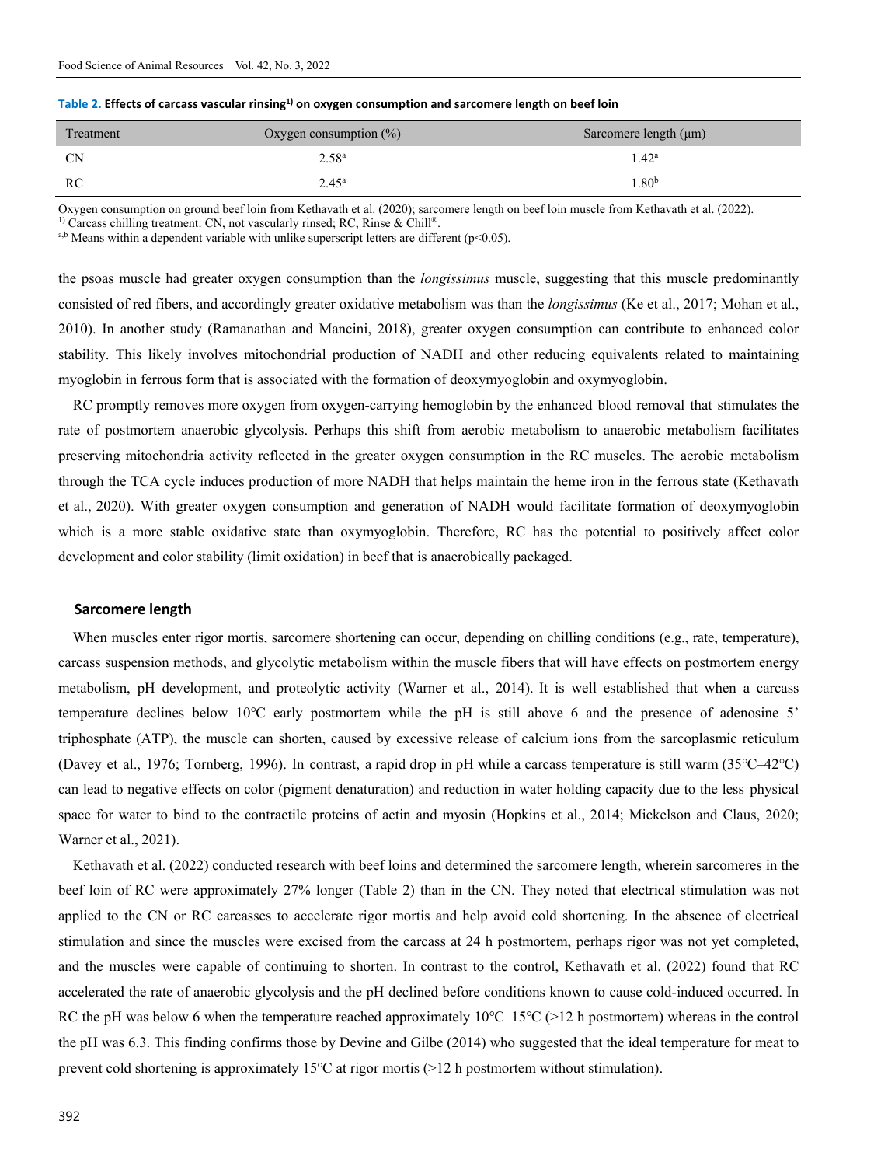| Treatment | Oxygen consumption $(\%)$ | Sarcomere length $(\mu m)$ |
|-----------|---------------------------|----------------------------|
| <b>CN</b> | 2.58 <sup>a</sup>         | $1.42^{\rm a}$             |
| RC        | $2.45^{\rm a}$            | 1.80 <sup>b</sup>          |

| Table 2. Effects of carcass vascular rinsing $^{1)}$ on oxygen consumption and sarcomere length on beef loin |  |  |
|--------------------------------------------------------------------------------------------------------------|--|--|
|--------------------------------------------------------------------------------------------------------------|--|--|

Oxygen consumption on ground beef loin from Kethavath et al. (2020); sarcomere length on beef loin muscle from Kethavath et al. (2022).

<sup>1)</sup> Carcass chilling treatment: CN, not vascularly rinsed; RC, Rinse & Chill®.  $a,b$  Means within a dependent variable with unlike superscript letters are different (p<0.05).

the psoas muscle had greater oxygen consumption than the *longissimus* muscle, suggesting that this muscle predominantly consisted of red fibers, and accordingly greater oxidative metabolism was than the *longissimus* (Ke et al., 2017; Mohan et al., 2010). In another study (Ramanathan and Mancini, 2018), greater oxygen consumption can contribute to enhanced color stability. This likely involves mitochondrial production of NADH and other reducing equivalents related to maintaining myoglobin in ferrous form that is associated with the formation of deoxymyoglobin and oxymyoglobin.

RC promptly removes more oxygen from oxygen-carrying hemoglobin by the enhanced blood removal that stimulates the rate of postmortem anaerobic glycolysis. Perhaps this shift from aerobic metabolism to anaerobic metabolism facilitates preserving mitochondria activity reflected in the greater oxygen consumption in the RC muscles. The aerobic metabolism through the TCA cycle induces production of more NADH that helps maintain the heme iron in the ferrous state (Kethavath et al., 2020). With greater oxygen consumption and generation of NADH would facilitate formation of deoxymyoglobin which is a more stable oxidative state than oxymyoglobin. Therefore, RC has the potential to positively affect color development and color stability (limit oxidation) in beef that is anaerobically packaged.

#### **Sarcomere length**

When muscles enter rigor mortis, sarcomere shortening can occur, depending on chilling conditions (e.g., rate, temperature), carcass suspension methods, and glycolytic metabolism within the muscle fibers that will have effects on postmortem energy metabolism, pH development, and proteolytic activity (Warner et al., 2014). It is well established that when a carcass temperature declines below 10℃ early postmortem while the pH is still above 6 and the presence of adenosine 5' triphosphate (ATP), the muscle can shorten, caused by excessive release of calcium ions from the sarcoplasmic reticulum (Davey et al., 1976; Tornberg, 1996). In contrast, a rapid drop in pH while a carcass temperature is still warm (35℃–42℃) can lead to negative effects on color (pigment denaturation) and reduction in water holding capacity due to the less physical space for water to bind to the contractile proteins of actin and myosin (Hopkins et al., 2014; Mickelson and Claus, 2020; Warner et al., 2021).

Kethavath et al. (2022) conducted research with beef loins and determined the sarcomere length, wherein sarcomeres in the beef loin of RC were approximately 27% longer (Table 2) than in the CN. They noted that electrical stimulation was not applied to the CN or RC carcasses to accelerate rigor mortis and help avoid cold shortening. In the absence of electrical stimulation and since the muscles were excised from the carcass at 24 h postmortem, perhaps rigor was not yet completed, and the muscles were capable of continuing to shorten. In contrast to the control, Kethavath et al. (2022) found that RC accelerated the rate of anaerobic glycolysis and the pH declined before conditions known to cause cold-induced occurred. In RC the pH was below 6 when the temperature reached approximately 10℃–15℃ (>12 h postmortem) whereas in the control the pH was 6.3. This finding confirms those by Devine and Gilbe (2014) who suggested that the ideal temperature for meat to prevent cold shortening is approximately 15℃ at rigor mortis (>12 h postmortem without stimulation).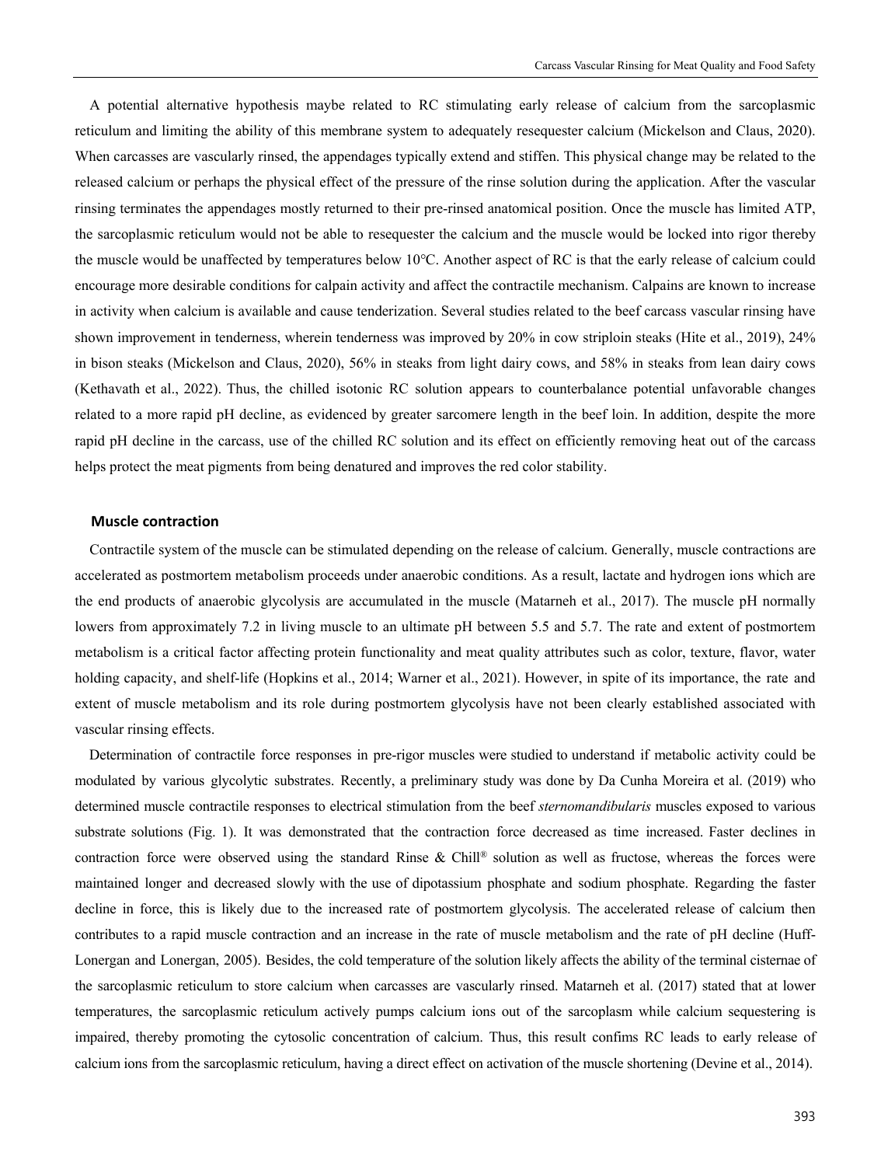A potential alternative hypothesis maybe related to RC stimulating early release of calcium from the sarcoplasmic reticulum and limiting the ability of this membrane system to adequately resequester calcium (Mickelson and Claus, 2020). When carcasses are vascularly rinsed, the appendages typically extend and stiffen. This physical change may be related to the released calcium or perhaps the physical effect of the pressure of the rinse solution during the application. After the vascular rinsing terminates the appendages mostly returned to their pre-rinsed anatomical position. Once the muscle has limited ATP, the sarcoplasmic reticulum would not be able to resequester the calcium and the muscle would be locked into rigor thereby the muscle would be unaffected by temperatures below 10℃. Another aspect of RC is that the early release of calcium could encourage more desirable conditions for calpain activity and affect the contractile mechanism. Calpains are known to increase in activity when calcium is available and cause tenderization. Several studies related to the beef carcass vascular rinsing have shown improvement in tenderness, wherein tenderness was improved by 20% in cow striploin steaks (Hite et al., 2019), 24% in bison steaks (Mickelson and Claus, 2020), 56% in steaks from light dairy cows, and 58% in steaks from lean dairy cows (Kethavath et al., 2022). Thus, the chilled isotonic RC solution appears to counterbalance potential unfavorable changes related to a more rapid pH decline, as evidenced by greater sarcomere length in the beef loin. In addition, despite the more rapid pH decline in the carcass, use of the chilled RC solution and its effect on efficiently removing heat out of the carcass helps protect the meat pigments from being denatured and improves the red color stability.

#### **Muscle contraction**

Contractile system of the muscle can be stimulated depending on the release of calcium. Generally, muscle contractions are accelerated as postmortem metabolism proceeds under anaerobic conditions. As a result, lactate and hydrogen ions which are the end products of anaerobic glycolysis are accumulated in the muscle (Matarneh et al., 2017). The muscle pH normally lowers from approximately 7.2 in living muscle to an ultimate pH between 5.5 and 5.7. The rate and extent of postmortem metabolism is a critical factor affecting protein functionality and meat quality attributes such as color, texture, flavor, water holding capacity, and shelf-life (Hopkins et al., 2014; Warner et al., 2021). However, in spite of its importance, the rate and extent of muscle metabolism and its role during postmortem glycolysis have not been clearly established associated with vascular rinsing effects.

Determination of contractile force responses in pre-rigor muscles were studied to understand if metabolic activity could be modulated by various glycolytic substrates. Recently, a preliminary study was done by Da Cunha Moreira et al. (2019) who determined muscle contractile responses to electrical stimulation from the beef *sternomandibularis* muscles exposed to various substrate solutions (Fig. 1). It was demonstrated that the contraction force decreased as time increased. Faster declines in contraction force were observed using the standard Rinse & Chill® solution as well as fructose, whereas the forces were maintained longer and decreased slowly with the use of dipotassium phosphate and sodium phosphate. Regarding the faster decline in force, this is likely due to the increased rate of postmortem glycolysis. The accelerated release of calcium then contributes to a rapid muscle contraction and an increase in the rate of muscle metabolism and the rate of pH decline (Huff-Lonergan and Lonergan, 2005). Besides, the cold temperature of the solution likely affects the ability of the terminal cisternae of the sarcoplasmic reticulum to store calcium when carcasses are vascularly rinsed. Matarneh et al. (2017) stated that at lower temperatures, the sarcoplasmic reticulum actively pumps calcium ions out of the sarcoplasm while calcium sequestering is impaired, thereby promoting the cytosolic concentration of calcium. Thus, this result confims RC leads to early release of calcium ions from the sarcoplasmic reticulum, having a direct effect on activation of the muscle shortening (Devine et al., 2014).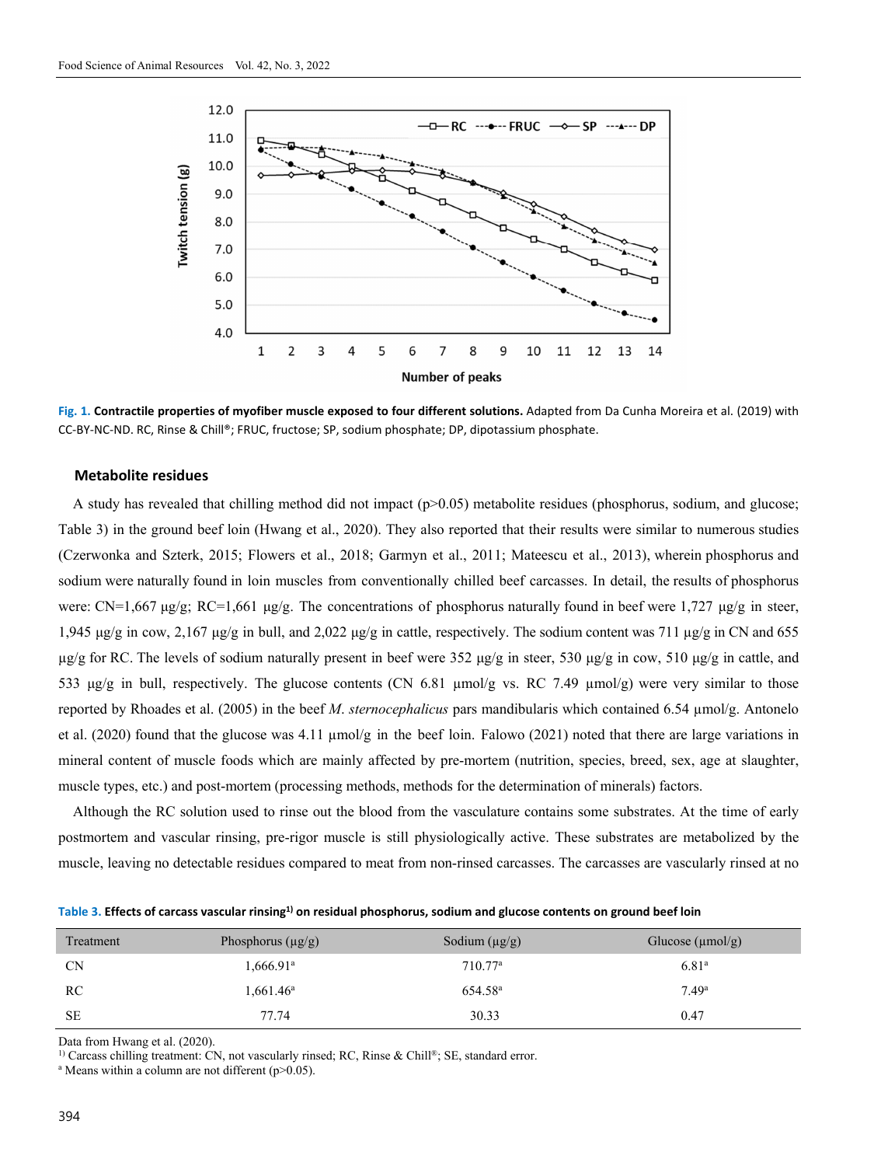

**Fig. 1. Contractile properties of myofiber muscle exposed to four different solutions.** Adapted from Da Cunha Moreira et al. (2019) with CC-BY-NC-ND. RC, Rinse & Chill®; FRUC, fructose; SP, sodium phosphate; DP, dipotassium phosphate.

#### **Metabolite residues**

A study has revealed that chilling method did not impact  $(p>0.05)$  metabolite residues (phosphorus, sodium, and glucose; Table 3) in the ground beef loin (Hwang et al., 2020). They also reported that their results were similar to numerous studies (Czerwonka and Szterk, 2015; Flowers et al., 2018; Garmyn et al., 2011; Mateescu et al., 2013), wherein phosphorus and sodium were naturally found in loin muscles from conventionally chilled beef carcasses. In detail, the results of phosphorus were: CN=1,667 μg/g; RC=1,661 μg/g. The concentrations of phosphorus naturally found in beef were 1,727 μg/g in steer, 1,945 μg/g in cow, 2,167 μg/g in bull, and 2,022 μg/g in cattle, respectively. The sodium content was 711 μg/g in CN and 655  $\mu$ g/g for RC. The levels of sodium naturally present in beef were 352  $\mu$ g/g in steer, 530  $\mu$ g/g in cow, 510  $\mu$ g/g in cattle, and 533 μg/g in bull, respectively. The glucose contents (CN 6.81 μmol/g vs. RC 7.49 μmol/g) were very similar to those reported by Rhoades et al. (2005) in the beef *M*. *sternocephalicus* pars mandibularis which contained 6.54 µmol/g. Antonelo et al. (2020) found that the glucose was 4.11  $\mu$ mol/g in the beef loin. Falowo (2021) noted that there are large variations in mineral content of muscle foods which are mainly affected by pre-mortem (nutrition, species, breed, sex, age at slaughter, muscle types, etc.) and post-mortem (processing methods, methods for the determination of minerals) factors.

Although the RC solution used to rinse out the blood from the vasculature contains some substrates. At the time of early postmortem and vascular rinsing, pre-rigor muscle is still physiologically active. These substrates are metabolized by the muscle, leaving no detectable residues compared to meat from non-rinsed carcasses. The carcasses are vascularly rinsed at no

| Table 3. Effects of carcass vascular rinsing <sup>1)</sup> on residual phosphorus, sodium and glucose contents on ground beef loin |  |  |
|------------------------------------------------------------------------------------------------------------------------------------|--|--|
|------------------------------------------------------------------------------------------------------------------------------------|--|--|

| Treatment | Phosphorus $(\mu g/g)$ | Sodium $(\mu g/g)$  | Glucose $(\mu mol/g)$ |
|-----------|------------------------|---------------------|-----------------------|
| <b>CN</b> | 1,666.91ª              | 710.77 <sup>a</sup> | 6.81 <sup>a</sup>     |
| RC        | $1,661.46^{\rm a}$     | 654.58 <sup>a</sup> | 7.49 <sup>a</sup>     |
| <b>SE</b> | 77.74                  | 30.33               | 0.47                  |

Data from Hwang et al. (2020).

<sup>1)</sup> Carcass chilling treatment: CN, not vascularly rinsed; RC, Rinse & Chill®; SE, standard error.

<sup>a</sup> Means within a column are not different ( $p > 0.05$ ).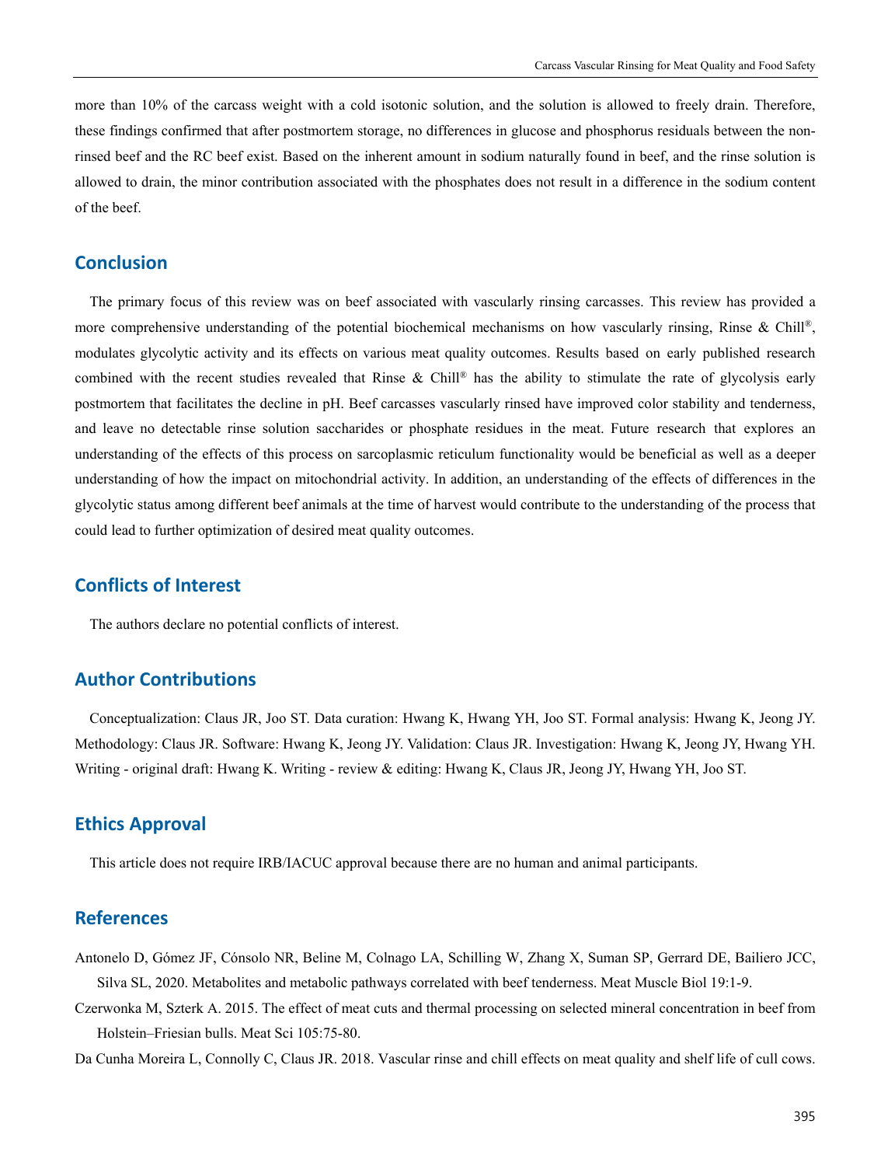more than 10% of the carcass weight with a cold isotonic solution, and the solution is allowed to freely drain. Therefore, these findings confirmed that after postmortem storage, no differences in glucose and phosphorus residuals between the nonrinsed beef and the RC beef exist. Based on the inherent amount in sodium naturally found in beef, and the rinse solution is allowed to drain, the minor contribution associated with the phosphates does not result in a difference in the sodium content of the beef.

## **Conclusion**

The primary focus of this review was on beef associated with vascularly rinsing carcasses. This review has provided a more comprehensive understanding of the potential biochemical mechanisms on how vascularly rinsing, Rinse & Chill®, modulates glycolytic activity and its effects on various meat quality outcomes. Results based on early published research combined with the recent studies revealed that Rinse & Chill® has the ability to stimulate the rate of glycolysis early postmortem that facilitates the decline in pH. Beef carcasses vascularly rinsed have improved color stability and tenderness, and leave no detectable rinse solution saccharides or phosphate residues in the meat. Future research that explores an understanding of the effects of this process on sarcoplasmic reticulum functionality would be beneficial as well as a deeper understanding of how the impact on mitochondrial activity. In addition, an understanding of the effects of differences in the glycolytic status among different beef animals at the time of harvest would contribute to the understanding of the process that could lead to further optimization of desired meat quality outcomes.

## **Conflicts of Interest**

The authors declare no potential conflicts of interest.

## **Author Contributions**

Conceptualization: Claus JR, Joo ST. Data curation: Hwang K, Hwang YH, Joo ST. Formal analysis: Hwang K, Jeong JY. Methodology: Claus JR. Software: Hwang K, Jeong JY. Validation: Claus JR. Investigation: Hwang K, Jeong JY, Hwang YH. Writing - original draft: Hwang K. Writing - review & editing: Hwang K, Claus JR, Jeong JY, Hwang YH, Joo ST.

## **Ethics Approval**

This article does not require IRB/IACUC approval because there are no human and animal participants.

## **References**

- Antonelo D, Gómez JF, Cónsolo NR, Beline M, Colnago LA, Schilling W, Zhang X, Suman SP, Gerrard DE, Bailiero JCC, Silva SL, 2020. Metabolites and metabolic pathways correlated with beef tenderness. Meat Muscle Biol 19:1-9.
- Czerwonka M, Szterk A. 2015. The effect of meat cuts and thermal processing on selected mineral concentration in beef from Holstein–Friesian bulls. Meat Sci 105:75-80.

Da Cunha Moreira L, Connolly C, Claus JR. 2018. Vascular rinse and chill effects on meat quality and shelf life of cull cows.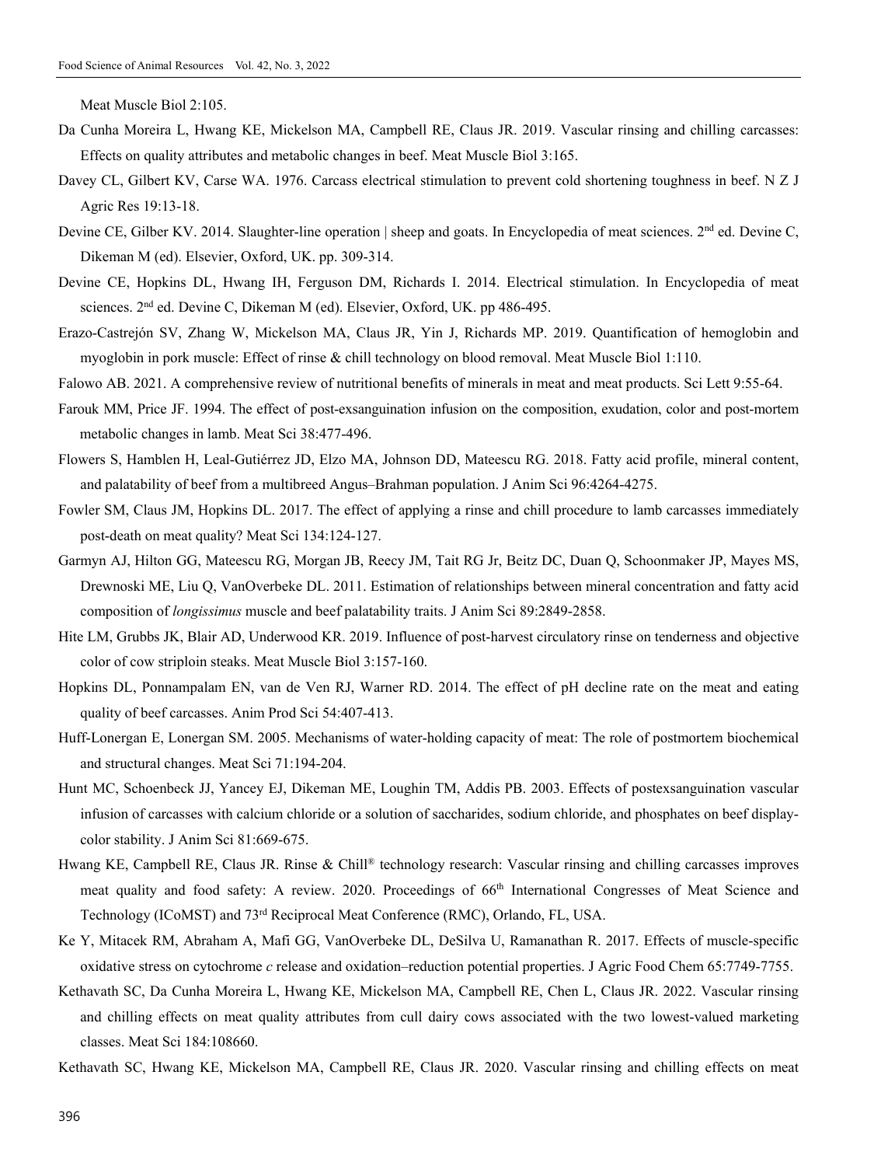Meat Muscle Biol 2:105.

- Da Cunha Moreira L, Hwang KE, Mickelson MA, Campbell RE, Claus JR. 2019. Vascular rinsing and chilling carcasses: Effects on quality attributes and metabolic changes in beef. Meat Muscle Biol 3:165.
- Davey CL, Gilbert KV, Carse WA. 1976. Carcass electrical stimulation to prevent cold shortening toughness in beef. N Z J Agric Res 19:13-18.
- Devine CE, Gilber KV. 2014. Slaughter-line operation | sheep and goats. In Encyclopedia of meat sciences. 2<sup>nd</sup> ed. Devine C, Dikeman M (ed). Elsevier, Oxford, UK. pp. 309-314.
- Devine CE, Hopkins DL, Hwang IH, Ferguson DM, Richards I. 2014. Electrical stimulation. In Encyclopedia of meat sciences. 2<sup>nd</sup> ed. Devine C, Dikeman M (ed). Elsevier, Oxford, UK. pp 486-495.
- Erazo-Castrejón SV, Zhang W, Mickelson MA, Claus JR, Yin J, Richards MP. 2019. Quantification of hemoglobin and myoglobin in pork muscle: Effect of rinse & chill technology on blood removal. Meat Muscle Biol 1:110.
- Falowo AB. 2021. A comprehensive review of nutritional benefits of minerals in meat and meat products. Sci Lett 9:55-64.
- Farouk MM, Price JF. 1994. The effect of post-exsanguination infusion on the composition, exudation, color and post-mortem metabolic changes in lamb. Meat Sci 38:477-496.
- Flowers S, Hamblen H, Leal-Gutiérrez JD, Elzo MA, Johnson DD, Mateescu RG. 2018. Fatty acid profile, mineral content, and palatability of beef from a multibreed Angus–Brahman population. J Anim Sci 96:4264-4275.
- Fowler SM, Claus JM, Hopkins DL. 2017. The effect of applying a rinse and chill procedure to lamb carcasses immediately post-death on meat quality? Meat Sci 134:124-127.
- Garmyn AJ, Hilton GG, Mateescu RG, Morgan JB, Reecy JM, Tait RG Jr, Beitz DC, Duan Q, Schoonmaker JP, Mayes MS, Drewnoski ME, Liu Q, VanOverbeke DL. 2011. Estimation of relationships between mineral concentration and fatty acid composition of *longissimus* muscle and beef palatability traits. J Anim Sci 89:2849-2858.
- Hite LM, Grubbs JK, Blair AD, Underwood KR. 2019. Influence of post-harvest circulatory rinse on tenderness and objective color of cow striploin steaks. Meat Muscle Biol 3:157-160.
- Hopkins DL, Ponnampalam EN, van de Ven RJ, Warner RD. 2014. The effect of pH decline rate on the meat and eating quality of beef carcasses. Anim Prod Sci 54:407-413.
- Huff-Lonergan E, Lonergan SM. 2005. Mechanisms of water-holding capacity of meat: The role of postmortem biochemical and structural changes. Meat Sci 71:194-204.
- Hunt MC, Schoenbeck JJ, Yancey EJ, Dikeman ME, Loughin TM, Addis PB. 2003. Effects of postexsanguination vascular infusion of carcasses with calcium chloride or a solution of saccharides, sodium chloride, and phosphates on beef displaycolor stability. J Anim Sci 81:669-675.
- Hwang KE, Campbell RE, Claus JR. Rinse & Chill® technology research: Vascular rinsing and chilling carcasses improves meat quality and food safety: A review. 2020. Proceedings of 66<sup>th</sup> International Congresses of Meat Science and Technology (ICoMST) and 73rd Reciprocal Meat Conference (RMC), Orlando, FL, USA.
- Ke Y, Mitacek RM, Abraham A, Mafi GG, VanOverbeke DL, DeSilva U, Ramanathan R. 2017. Effects of muscle-specific oxidative stress on cytochrome *c* release and oxidation–reduction potential properties. J Agric Food Chem 65:7749-7755.
- Kethavath SC, Da Cunha Moreira L, Hwang KE, Mickelson MA, Campbell RE, Chen L, Claus JR. 2022. Vascular rinsing and chilling effects on meat quality attributes from cull dairy cows associated with the two lowest-valued marketing classes. Meat Sci 184:108660.
- Kethavath SC, Hwang KE, Mickelson MA, Campbell RE, Claus JR. 2020. Vascular rinsing and chilling effects on meat